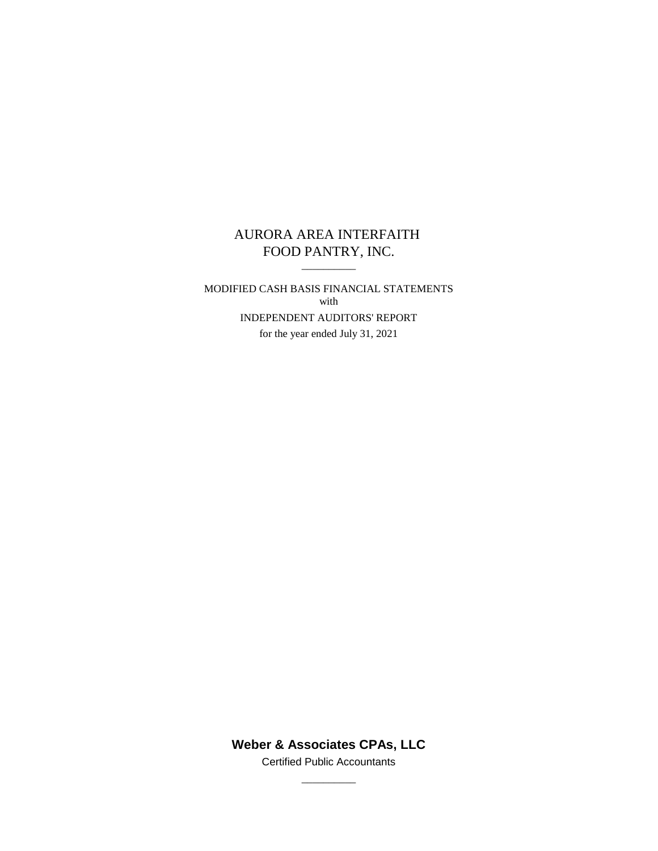\_\_\_\_\_\_\_\_\_\_

MODIFIED CASH BASIS FINANCIAL STATEMENTS with INDEPENDENT AUDITORS' REPORT for the year ended July 31, 2021

# **Weber & Associates CPAs, LLC**

Certified Public Accountants  $\overline{\phantom{a}}$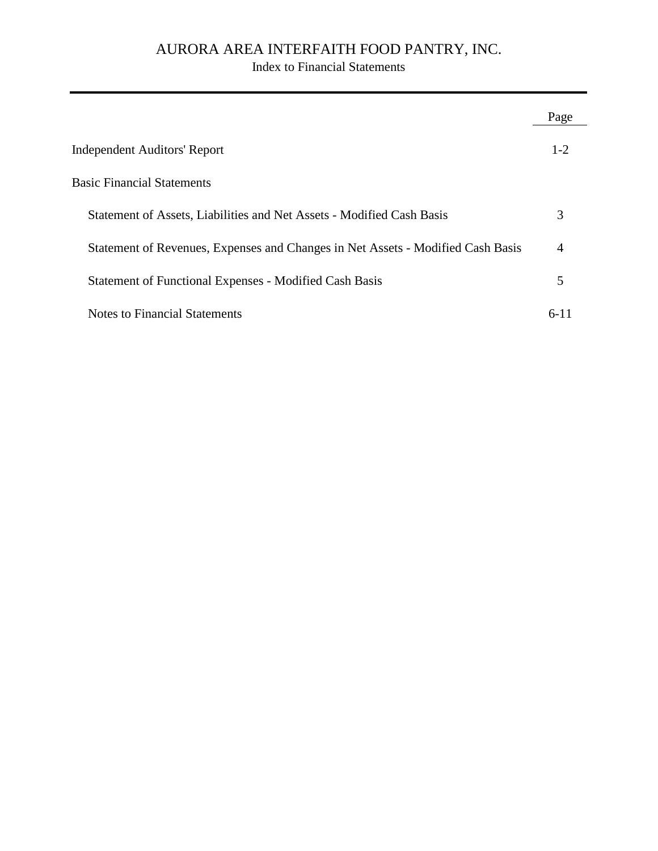# Index to Financial Statements

|                                                                                 | Page     |
|---------------------------------------------------------------------------------|----------|
| <b>Independent Auditors' Report</b>                                             | $1 - 2$  |
| <b>Basic Financial Statements</b>                                               |          |
| Statement of Assets, Liabilities and Net Assets - Modified Cash Basis           | 3        |
| Statement of Revenues, Expenses and Changes in Net Assets - Modified Cash Basis | 4        |
| <b>Statement of Functional Expenses - Modified Cash Basis</b>                   | 5        |
| <b>Notes to Financial Statements</b>                                            | $6 - 11$ |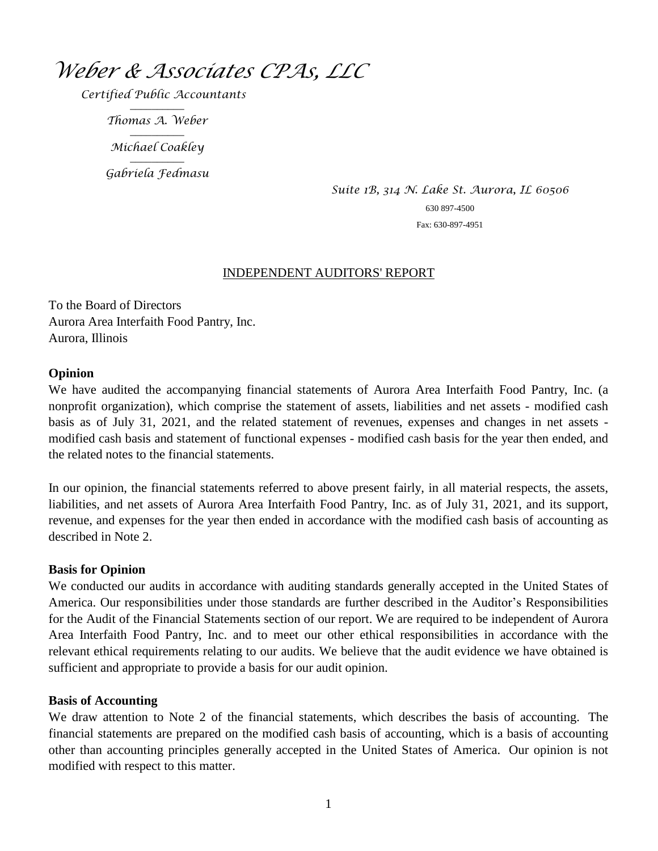*Weber & Associates CPAs, LLC*

*Certified Public Accountants* \_\_\_\_\_\_\_\_\_\_

> *Gabriela Fedmasu Thomas A. Weber* \_\_\_\_\_\_\_\_\_\_ *Michael Coakley*  $\overline{\phantom{a}}$

> > *Suite 1B, 314 N. Lake St. Aurora, IL 60506* 630 897-4500

Fax: 630-897-4951

#### INDEPENDENT AUDITORS' REPORT

To the Board of Directors Aurora Area Interfaith Food Pantry, Inc. Aurora, Illinois

#### **Opinion**

We have audited the accompanying financial statements of Aurora Area Interfaith Food Pantry, Inc. (a nonprofit organization), which comprise the statement of assets, liabilities and net assets - modified cash basis as of July 31, 2021, and the related statement of revenues, expenses and changes in net assets modified cash basis and statement of functional expenses - modified cash basis for the year then ended, and the related notes to the financial statements.

In our opinion, the financial statements referred to above present fairly, in all material respects, the assets, liabilities, and net assets of Aurora Area Interfaith Food Pantry, Inc. as of July 31, 2021, and its support, revenue, and expenses for the year then ended in accordance with the modified cash basis of accounting as described in Note 2.

#### **Basis for Opinion**

We conducted our audits in accordance with auditing standards generally accepted in the United States of America. Our responsibilities under those standards are further described in the Auditor's Responsibilities for the Audit of the Financial Statements section of our report. We are required to be independent of Aurora Area Interfaith Food Pantry, Inc. and to meet our other ethical responsibilities in accordance with the relevant ethical requirements relating to our audits. We believe that the audit evidence we have obtained is sufficient and appropriate to provide a basis for our audit opinion.

#### **Basis of Accounting**

We draw attention to Note 2 of the financial statements, which describes the basis of accounting. The financial statements are prepared on the modified cash basis of accounting, which is a basis of accounting other than accounting principles generally accepted in the United States of America. Our opinion is not modified with respect to this matter.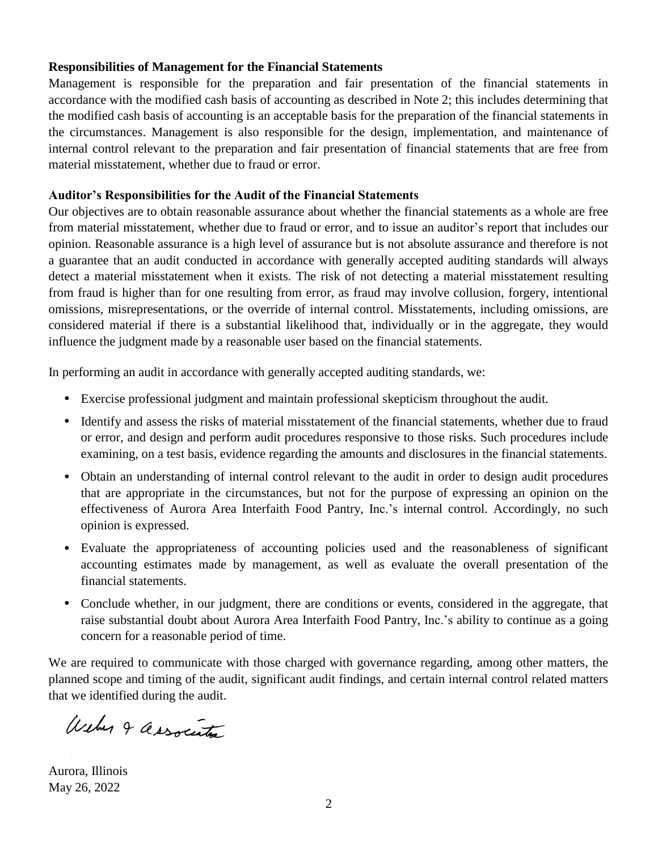#### **Responsibilities of Management for the Financial Statements**

Management is responsible for the preparation and fair presentation of the financial statements in accordance with the modified cash basis of accounting as described in Note 2; this includes determining that the modified cash basis of accounting is an acceptable basis for the preparation of the financial statements in the circumstances. Management is also responsible for the design, implementation, and maintenance of internal control relevant to the preparation and fair presentation of financial statements that are free from material misstatement, whether due to fraud or error.

#### **Auditor's Responsibilities for the Audit of the Financial Statements**

Our objectives are to obtain reasonable assurance about whether the financial statements as a whole are free from material misstatement, whether due to fraud or error, and to issue an auditor's report that includes our opinion. Reasonable assurance is a high level of assurance but is not absolute assurance and therefore is not a guarantee that an audit conducted in accordance with generally accepted auditing standards will always detect a material misstatement when it exists. The risk of not detecting a material misstatement resulting from fraud is higher than for one resulting from error, as fraud may involve collusion, forgery, intentional omissions, misrepresentations, or the override of internal control. Misstatements, including omissions, are considered material if there is a substantial likelihood that, individually or in the aggregate, they would influence the judgment made by a reasonable user based on the financial statements.

In performing an audit in accordance with generally accepted auditing standards, we:

- Exercise professional judgment and maintain professional skepticism throughout the audit.
- Identify and assess the risks of material misstatement of the financial statements, whether due to fraud or error, and design and perform audit procedures responsive to those risks. Such procedures include examining, on a test basis, evidence regarding the amounts and disclosures in the financial statements.
- Obtain an understanding of internal control relevant to the audit in order to design audit procedures that are appropriate in the circumstances, but not for the purpose of expressing an opinion on the effectiveness of Aurora Area Interfaith Food Pantry, Inc.'s internal control. Accordingly, no such opinion is expressed.
- Evaluate the appropriateness of accounting policies used and the reasonableness of significant accounting estimates made by management, as well as evaluate the overall presentation of the financial statements.
- Conclude whether, in our judgment, there are conditions or events, considered in the aggregate, that raise substantial doubt about Aurora Area Interfaith Food Pantry, Inc.'s ability to continue as a going concern for a reasonable period of time.

We are required to communicate with those charged with governance regarding, among other matters, the planned scope and timing of the audit, significant audit findings, and certain internal control related matters that we identified during the audit.

Weber & associates

May 26, 2022 Aurora, Illinois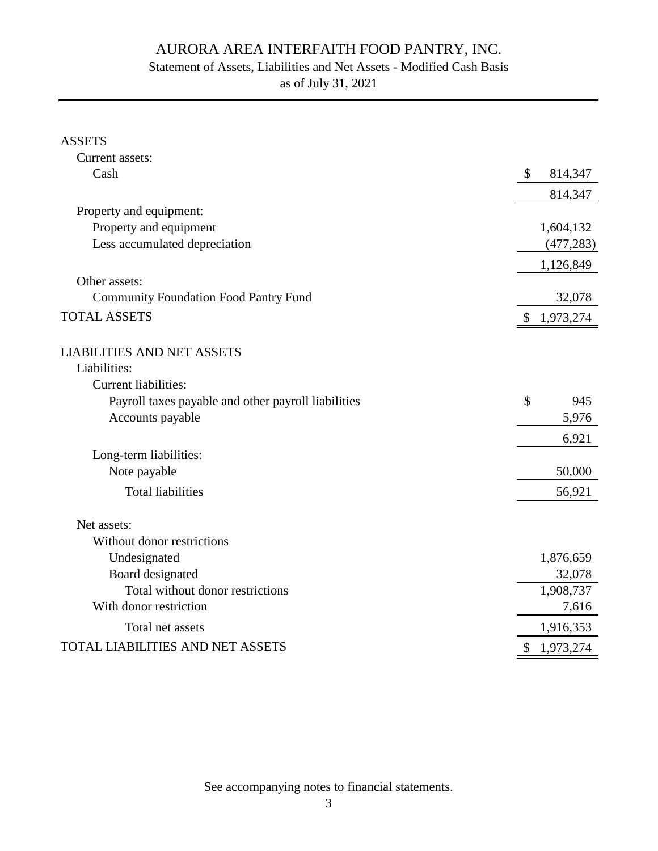# Statement of Assets, Liabilities and Net Assets - Modified Cash Basis

as of July 31, 2021

| <b>ASSETS</b>                                       |                 |
|-----------------------------------------------------|-----------------|
| Current assets:                                     |                 |
| Cash                                                | \$<br>814,347   |
|                                                     | 814,347         |
| Property and equipment:                             |                 |
| Property and equipment                              | 1,604,132       |
| Less accumulated depreciation                       | (477, 283)      |
|                                                     | 1,126,849       |
| Other assets:                                       |                 |
| <b>Community Foundation Food Pantry Fund</b>        | 32,078          |
| <b>TOTAL ASSETS</b>                                 | 1,973,274<br>\$ |
| <b>LIABILITIES AND NET ASSETS</b>                   |                 |
| Liabilities:                                        |                 |
| <b>Current liabilities:</b>                         |                 |
| Payroll taxes payable and other payroll liabilities | \$<br>945       |
| Accounts payable                                    | 5,976           |
|                                                     | 6,921           |
| Long-term liabilities:                              |                 |
| Note payable                                        | 50,000          |
| <b>Total liabilities</b>                            | 56,921          |
| Net assets:                                         |                 |
| Without donor restrictions                          |                 |
| Undesignated                                        | 1,876,659       |
| Board designated                                    | 32,078          |
| Total without donor restrictions                    | 1,908,737       |
| With donor restriction                              | 7,616           |
| Total net assets                                    | 1,916,353       |
| TOTAL LIABILITIES AND NET ASSETS                    | 1,973,274<br>\$ |

See accompanying notes to financial statements.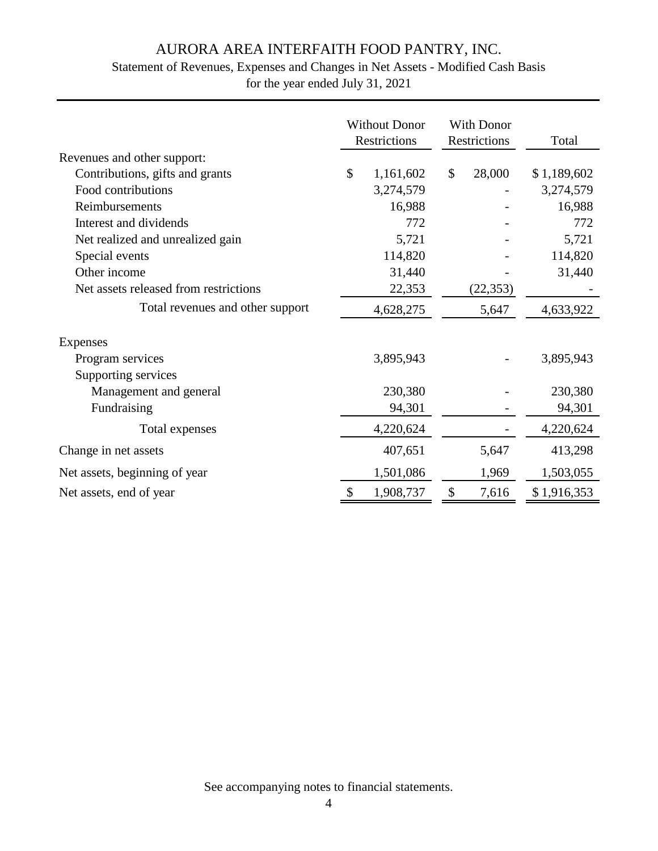Statement of Revenues, Expenses and Changes in Net Assets - Modified Cash Basis

for the year ended July 31, 2021

|                                       | <b>Without Donor</b><br>Restrictions | <b>With Donor</b><br>Restrictions | Total       |
|---------------------------------------|--------------------------------------|-----------------------------------|-------------|
| Revenues and other support:           |                                      |                                   |             |
| Contributions, gifts and grants       | \$<br>1,161,602                      | \$<br>28,000                      | \$1,189,602 |
| Food contributions                    | 3,274,579                            |                                   | 3,274,579   |
| Reimbursements                        | 16,988                               |                                   | 16,988      |
| Interest and dividends                | 772                                  |                                   | 772         |
| Net realized and unrealized gain      | 5,721                                |                                   | 5,721       |
| Special events                        | 114,820                              |                                   | 114,820     |
| Other income                          | 31,440                               |                                   | 31,440      |
| Net assets released from restrictions | 22,353                               | (22, 353)                         |             |
| Total revenues and other support      | 4,628,275                            | 5,647                             | 4,633,922   |
| <b>Expenses</b>                       |                                      |                                   |             |
| Program services                      | 3,895,943                            |                                   | 3,895,943   |
| Supporting services                   |                                      |                                   |             |
| Management and general                | 230,380                              |                                   | 230,380     |
| Fundraising                           | 94,301                               |                                   | 94,301      |
| Total expenses                        | 4,220,624                            |                                   | 4,220,624   |
| Change in net assets                  | 407,651                              | 5,647                             | 413,298     |
| Net assets, beginning of year         | 1,501,086                            | 1,969                             | 1,503,055   |
| Net assets, end of year               | \$<br>1,908,737                      | \$<br>7,616                       | \$1,916,353 |

See accompanying notes to financial statements.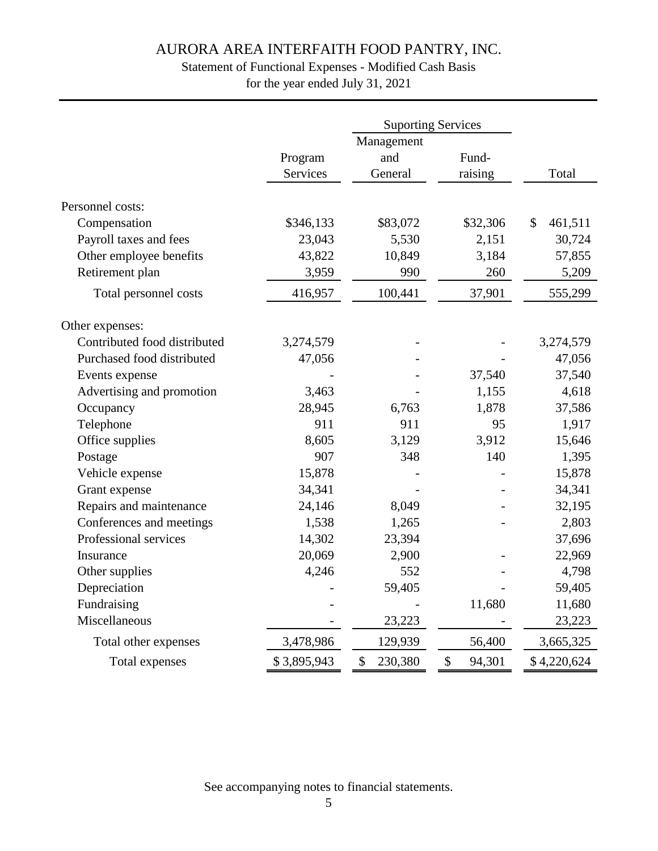# Statement of Functional Expenses - Modified Cash Basis

for the year ended July 31, 2021

|                              |             | <b>Suporting Services</b> |              |               |
|------------------------------|-------------|---------------------------|--------------|---------------|
|                              |             | Management                |              |               |
|                              | Program     | and                       | Fund-        |               |
|                              | Services    | General                   | raising      | Total         |
| Personnel costs:             |             |                           |              |               |
| Compensation                 | \$346,133   | \$83,072                  | \$32,306     | \$<br>461,511 |
| Payroll taxes and fees       | 23,043      | 5,530                     | 2,151        | 30,724        |
| Other employee benefits      | 43,822      | 10,849                    | 3,184        | 57,855        |
| Retirement plan              | 3,959       | 990                       | 260          | 5,209         |
| Total personnel costs        | 416,957     | 100,441                   | 37,901       | 555,299       |
| Other expenses:              |             |                           |              |               |
| Contributed food distributed | 3,274,579   |                           |              | 3,274,579     |
| Purchased food distributed   | 47,056      |                           |              | 47,056        |
| Events expense               |             |                           | 37,540       | 37,540        |
| Advertising and promotion    | 3,463       |                           | 1,155        | 4,618         |
| Occupancy                    | 28,945      | 6,763                     | 1,878        | 37,586        |
| Telephone                    | 911         | 911                       | 95           | 1,917         |
| Office supplies              | 8,605       | 3,129                     | 3,912        | 15,646        |
| Postage                      | 907         | 348                       | 140          | 1,395         |
| Vehicle expense              | 15,878      |                           |              | 15,878        |
| Grant expense                | 34,341      |                           |              | 34,341        |
| Repairs and maintenance      | 24,146      | 8,049                     |              | 32,195        |
| Conferences and meetings     | 1,538       | 1,265                     |              | 2,803         |
| Professional services        | 14,302      | 23,394                    |              | 37,696        |
| Insurance                    | 20,069      | 2,900                     |              | 22,969        |
| Other supplies               | 4,246       | 552                       |              | 4,798         |
| Depreciation                 |             | 59,405                    |              | 59,405        |
| Fundraising                  |             |                           | 11,680       | 11,680        |
| Miscellaneous                |             | 23,223                    |              | 23,223        |
| Total other expenses         | 3,478,986   | 129,939                   | 56,400       | 3,665,325     |
| Total expenses               | \$3,895,943 | \$<br>230,380             | \$<br>94,301 | \$4,220,624   |

See accompanying notes to financial statements.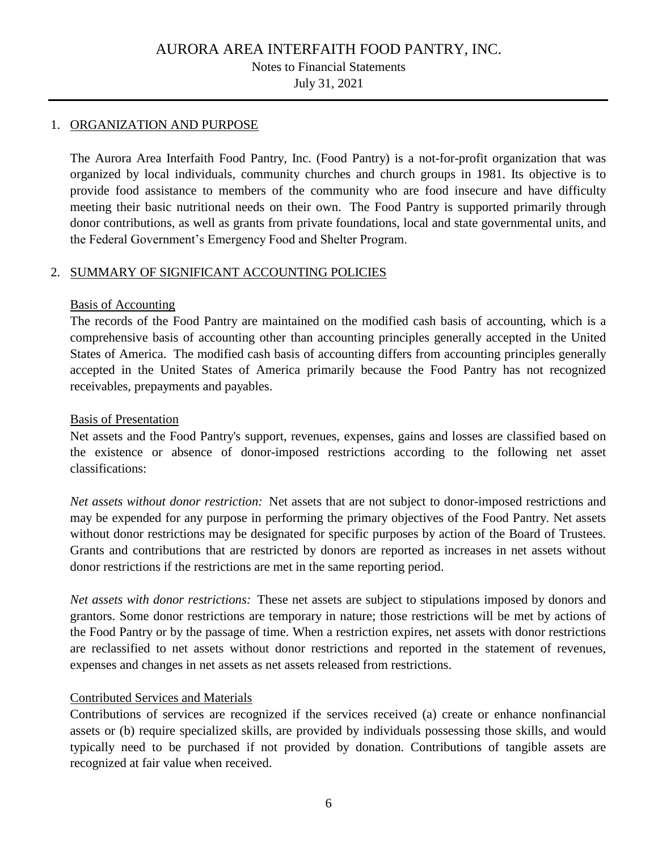#### Notes to Financial Statements

July 31, 2021

## 1. ORGANIZATION AND PURPOSE

The Aurora Area Interfaith Food Pantry, Inc. (Food Pantry) is a not-for-profit organization that was organized by local individuals, community churches and church groups in 1981. Its objective is to provide food assistance to members of the community who are food insecure and have difficulty meeting their basic nutritional needs on their own. The Food Pantry is supported primarily through donor contributions, as well as grants from private foundations, local and state governmental units, and the Federal Government's Emergency Food and Shelter Program.

# 2. SUMMARY OF SIGNIFICANT ACCOUNTING POLICIES

## Basis of Accounting

The records of the Food Pantry are maintained on the modified cash basis of accounting, which is a comprehensive basis of accounting other than accounting principles generally accepted in the United States of America. The modified cash basis of accounting differs from accounting principles generally accepted in the United States of America primarily because the Food Pantry has not recognized receivables, prepayments and payables.

# Basis of Presentation

Net assets and the Food Pantry's support, revenues, expenses, gains and losses are classified based on the existence or absence of donor-imposed restrictions according to the following net asset classifications:

*Net assets without donor restriction:* Net assets that are not subject to donor-imposed restrictions and may be expended for any purpose in performing the primary objectives of the Food Pantry. Net assets without donor restrictions may be designated for specific purposes by action of the Board of Trustees. Grants and contributions that are restricted by donors are reported as increases in net assets without donor restrictions if the restrictions are met in the same reporting period.

*Net assets with donor restrictions:* These net assets are subject to stipulations imposed by donors and grantors. Some donor restrictions are temporary in nature; those restrictions will be met by actions of the Food Pantry or by the passage of time. When a restriction expires, net assets with donor restrictions are reclassified to net assets without donor restrictions and reported in the statement of revenues, expenses and changes in net assets as net assets released from restrictions.

# Contributed Services and Materials

Contributions of services are recognized if the services received (a) create or enhance nonfinancial assets or (b) require specialized skills, are provided by individuals possessing those skills, and would typically need to be purchased if not provided by donation. Contributions of tangible assets are recognized at fair value when received.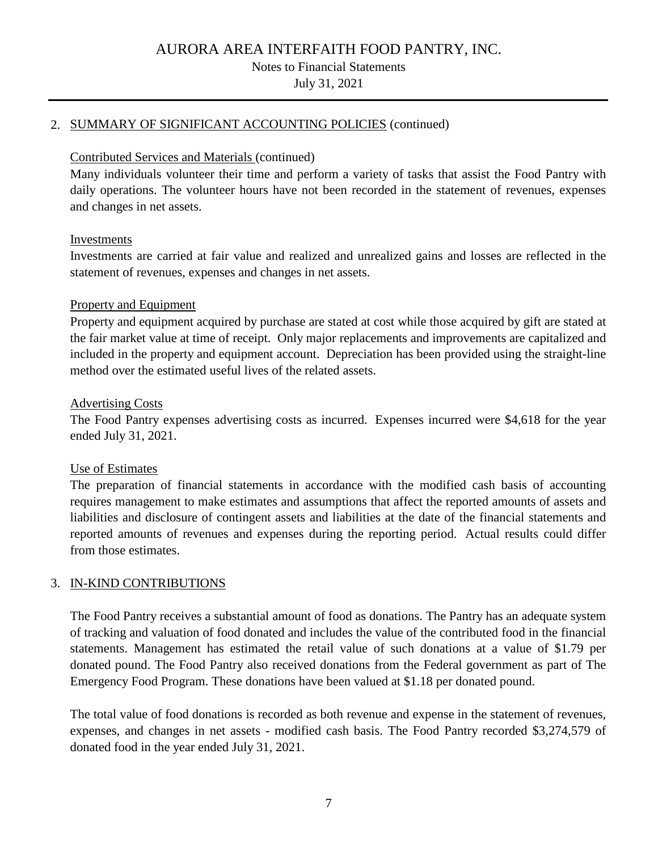#### Notes to Financial Statements

July 31, 2021

## 2. SUMMARY OF SIGNIFICANT ACCOUNTING POLICIES (continued)

#### Contributed Services and Materials (continued)

Many individuals volunteer their time and perform a variety of tasks that assist the Food Pantry with daily operations. The volunteer hours have not been recorded in the statement of revenues, expenses and changes in net assets.

#### Investments

Investments are carried at fair value and realized and unrealized gains and losses are reflected in the statement of revenues, expenses and changes in net assets.

#### Property and Equipment

Property and equipment acquired by purchase are stated at cost while those acquired by gift are stated at the fair market value at time of receipt. Only major replacements and improvements are capitalized and included in the property and equipment account. Depreciation has been provided using the straight-line method over the estimated useful lives of the related assets.

#### Advertising Costs

The Food Pantry expenses advertising costs as incurred. Expenses incurred were \$4,618 for the year ended July 31, 2021.

#### Use of Estimates

The preparation of financial statements in accordance with the modified cash basis of accounting requires management to make estimates and assumptions that affect the reported amounts of assets and liabilities and disclosure of contingent assets and liabilities at the date of the financial statements and reported amounts of revenues and expenses during the reporting period. Actual results could differ from those estimates.

## 3. IN-KIND CONTRIBUTIONS

The Food Pantry receives a substantial amount of food as donations. The Pantry has an adequate system of tracking and valuation of food donated and includes the value of the contributed food in the financial statements. Management has estimated the retail value of such donations at a value of \$1.79 per donated pound. The Food Pantry also received donations from the Federal government as part of The Emergency Food Program. These donations have been valued at \$1.18 per donated pound.

The total value of food donations is recorded as both revenue and expense in the statement of revenues, expenses, and changes in net assets - modified cash basis. The Food Pantry recorded \$3,274,579 of donated food in the year ended July 31, 2021.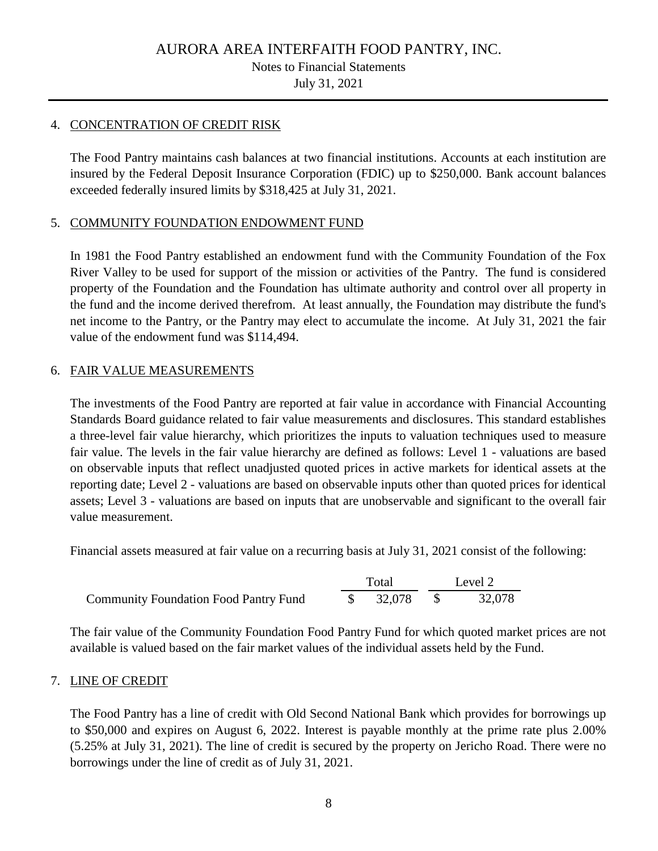#### Notes to Financial Statements

July 31, 2021

# 4. CONCENTRATION OF CREDIT RISK

The Food Pantry maintains cash balances at two financial institutions. Accounts at each institution are insured by the Federal Deposit Insurance Corporation (FDIC) up to \$250,000. Bank account balances exceeded federally insured limits by \$318,425 at July 31, 2021.

# 5. COMMUNITY FOUNDATION ENDOWMENT FUND

In 1981 the Food Pantry established an endowment fund with the Community Foundation of the Fox River Valley to be used for support of the mission or activities of the Pantry. The fund is considered property of the Foundation and the Foundation has ultimate authority and control over all property in the fund and the income derived therefrom. At least annually, the Foundation may distribute the fund's net income to the Pantry, or the Pantry may elect to accumulate the income. At July 31, 2021 the fair value of the endowment fund was \$114,494.

# 6. FAIR VALUE MEASUREMENTS

The investments of the Food Pantry are reported at fair value in accordance with Financial Accounting Standards Board guidance related to fair value measurements and disclosures. This standard establishes a three-level fair value hierarchy, which prioritizes the inputs to valuation techniques used to measure fair value. The levels in the fair value hierarchy are defined as follows: Level 1 - valuations are based on observable inputs that reflect unadjusted quoted prices in active markets for identical assets at the reporting date; Level 2 - valuations are based on observable inputs other than quoted prices for identical assets; Level 3 - valuations are based on inputs that are unobservable and significant to the overall fair value measurement.

Financial assets measured at fair value on a recurring basis at July 31, 2021 consist of the following:

Total Level 2 Community Foundation Food Pantry Fund \$ 32,078 \$ 32,078

The fair value of the Community Foundation Food Pantry Fund for which quoted market prices are not available is valued based on the fair market values of the individual assets held by the Fund.

# 7. LINE OF CREDIT

The Food Pantry has a line of credit with Old Second National Bank which provides for borrowings up to \$50,000 and expires on August 6, 2022. Interest is payable monthly at the prime rate plus 2.00% (5.25% at July 31, 2021). The line of credit is secured by the property on Jericho Road. There were no borrowings under the line of credit as of July 31, 2021.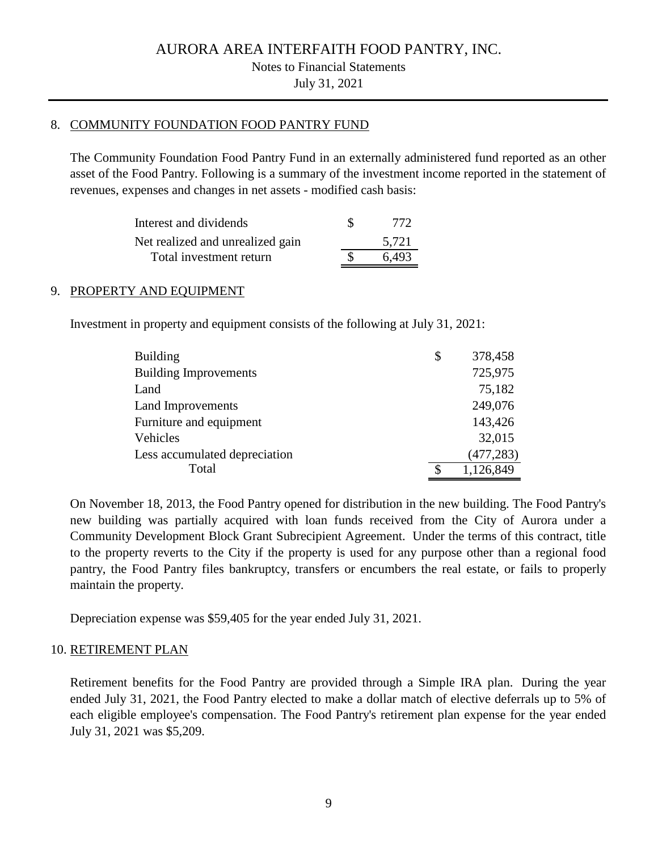Notes to Financial Statements

July 31, 2021

# 8. COMMUNITY FOUNDATION FOOD PANTRY FUND

The Community Foundation Food Pantry Fund in an externally administered fund reported as an other asset of the Food Pantry. Following is a summary of the investment income reported in the statement of revenues, expenses and changes in net assets - modified cash basis:

| Interest and dividends           | <b>S</b> | 772   |
|----------------------------------|----------|-------|
| Net realized and unrealized gain |          | 5,721 |
| Total investment return          |          | 6.493 |

## 9. PROPERTY AND EQUIPMENT

Investment in property and equipment consists of the following at July 31, 2021:

| <b>Building</b>               | \$<br>378,458 |
|-------------------------------|---------------|
| <b>Building Improvements</b>  | 725,975       |
| Land                          | 75,182        |
| Land Improvements             | 249,076       |
| Furniture and equipment       | 143,426       |
| Vehicles                      | 32,015        |
| Less accumulated depreciation | (477, 283)    |
| Total                         | 1,126,849     |

On November 18, 2013, the Food Pantry opened for distribution in the new building. The Food Pantry's new building was partially acquired with loan funds received from the City of Aurora under a Community Development Block Grant Subrecipient Agreement. Under the terms of this contract, title to the property reverts to the City if the property is used for any purpose other than a regional food pantry, the Food Pantry files bankruptcy, transfers or encumbers the real estate, or fails to properly maintain the property.

Depreciation expense was \$59,405 for the year ended July 31, 2021.

## 10. RETIREMENT PLAN

Retirement benefits for the Food Pantry are provided through a Simple IRA plan. During the year ended July 31, 2021, the Food Pantry elected to make a dollar match of elective deferrals up to 5% of each eligible employee's compensation. The Food Pantry's retirement plan expense for the year ended July 31, 2021 was \$5,209.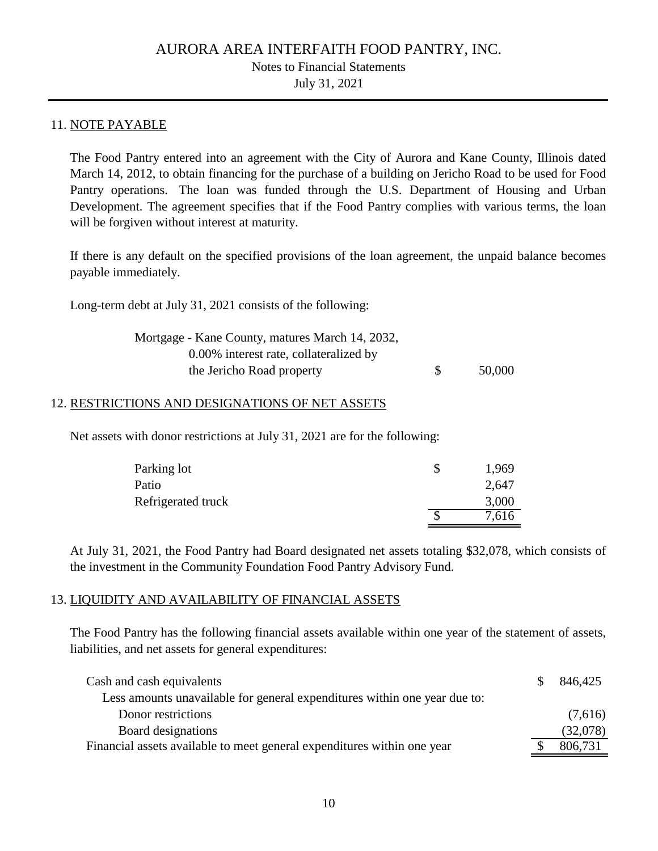#### Notes to Financial Statements

July 31, 2021

# 11. NOTE PAYABLE

The Food Pantry entered into an agreement with the City of Aurora and Kane County, Illinois dated March 14, 2012, to obtain financing for the purchase of a building on Jericho Road to be used for Food Pantry operations. The loan was funded through the U.S. Department of Housing and Urban Development. The agreement specifies that if the Food Pantry complies with various terms, the loan will be forgiven without interest at maturity.

If there is any default on the specified provisions of the loan agreement, the unpaid balance becomes payable immediately.

Long-term debt at July 31, 2021 consists of the following:

| Mortgage - Kane County, matures March 14, 2032, |        |
|-------------------------------------------------|--------|
| 0.00% interest rate, collateralized by          |        |
| the Jericho Road property                       | 50,000 |

#### 12. RESTRICTIONS AND DESIGNATIONS OF NET ASSETS

Net assets with donor restrictions at July 31, 2021 are for the following:

| Parking lot        | S | 1,969 |
|--------------------|---|-------|
| Patio              |   | 2,647 |
| Refrigerated truck |   | 3,000 |
|                    |   | 7,616 |

At July 31, 2021, the Food Pantry had Board designated net assets totaling \$32,078, which consists of the investment in the Community Foundation Food Pantry Advisory Fund.

## 13. LIQUIDITY AND AVAILABILITY OF FINANCIAL ASSETS

The Food Pantry has the following financial assets available within one year of the statement of assets, liabilities, and net assets for general expenditures:

| Cash and cash equivalents                                                 | 846,425  |
|---------------------------------------------------------------------------|----------|
| Less amounts unavailable for general expenditures within one year due to: |          |
| Donor restrictions                                                        | (7,616)  |
| Board designations                                                        | (32,078) |
| Financial assets available to meet general expenditures within one year   | 806,731  |